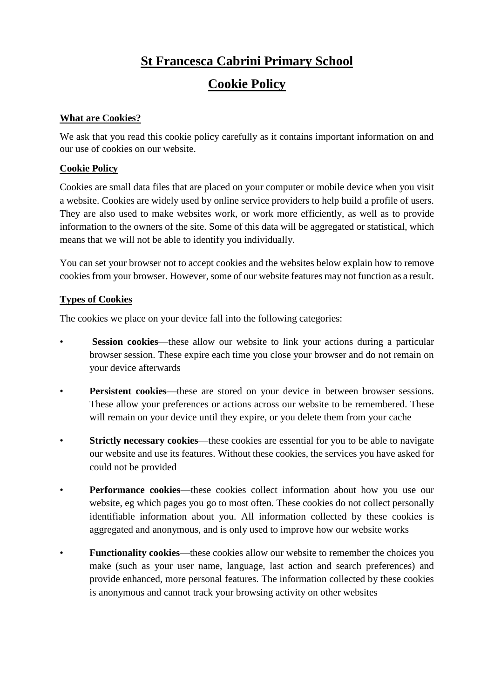# **St Francesca Cabrini Primary School Cookie Policy**

## **What are Cookies?**

We ask that you read this cookie policy carefully as it contains important information on and our use of cookies on our website.

# **Cookie Policy**

Cookies are small data files that are placed on your computer or mobile device when you visit a website. Cookies are widely used by online service providers to help build a profile of users. They are also used to make websites work, or work more efficiently, as well as to provide information to the owners of the site. Some of this data will be aggregated or statistical, which means that we will not be able to identify you individually.

You can set your browser not to accept cookies and the websites below explain how to remove cookies from your browser. However, some of our website features may not function as a result.

# **Types of Cookies**

The cookies we place on your device fall into the following categories:

- **Session cookies—these allow our website to link your actions during a particular** browser session. These expire each time you close your browser and do not remain on your device afterwards
- **Persistent cookies—these are stored on your device in between browser sessions.** These allow your preferences or actions across our website to be remembered. These will remain on your device until they expire, or you delete them from your cache
- **Strictly necessary cookies—these cookies are essential for you to be able to navigate** our website and use its features. Without these cookies, the services you have asked for could not be provided
- **Performance cookies**—these cookies collect information about how you use our website, eg which pages you go to most often. These cookies do not collect personally identifiable information about you. All information collected by these cookies is aggregated and anonymous, and is only used to improve how our website works
- **Functionality cookies—these cookies allow our website to remember the choices you** make (such as your user name, language, last action and search preferences) and provide enhanced, more personal features. The information collected by these cookies is anonymous and cannot track your browsing activity on other websites